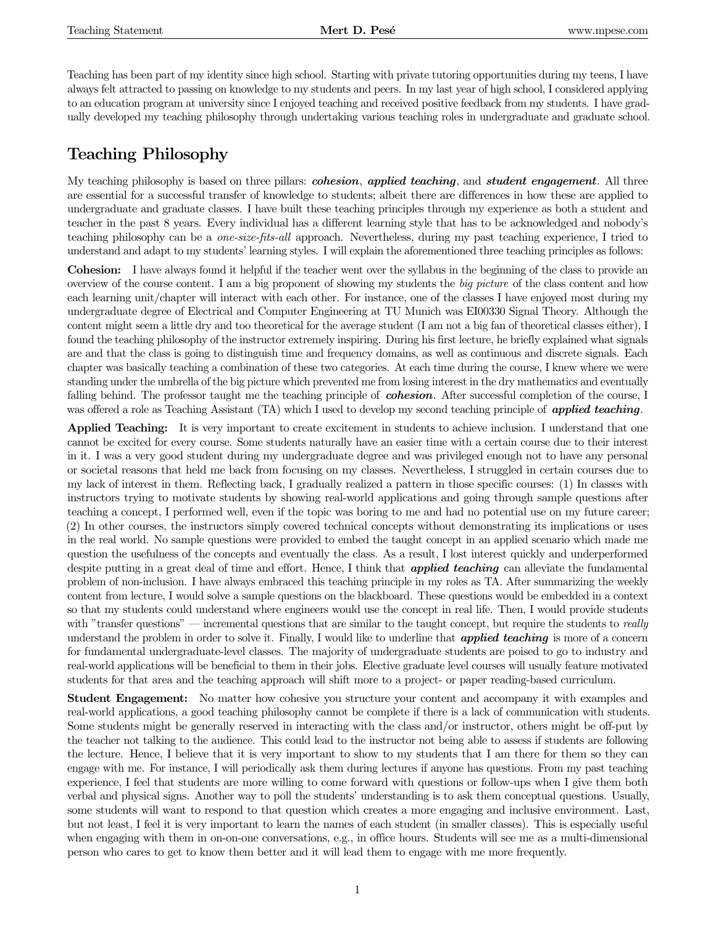Teaching has been part of my identity since high school. Starting with private tutoring opportunities during my teens, I have always felt attracted to passing on knowledge to my students and peers. In my last year of high school, I considered applying to an education program at university since I enjoyed teaching and received positive feedback from my students. I have gradually developed my teaching philosophy through undertaking various teaching roles in undergraduate and graduate school.

# Teaching Philosophy

My teaching philosophy is based on three pillars: *cohesion, applied teaching*, and *student engagement*. All three are essential for a successful transfer of knowledge to students; albeit there are differences in how these are applied to undergraduate and graduate classes. I have built these teaching principles through my experience as both a student and teacher in the past 8 years. Every individual has a different learning style that has to be acknowledged and nobody's teaching philosophy can be a one-size-fits-all approach. Nevertheless, during my past teaching experience, I tried to understand and adapt to my students' learning styles. I will explain the aforementioned three teaching principles as follows:

Cohesion: I have always found it helpful if the teacher went over the syllabus in the beginning of the class to provide an overview of the course content. I am a big proponent of showing my students the big picture of the class content and how each learning unit/chapter will interact with each other. For instance, one of the classes I have enjoyed most during my undergraduate degree of Electrical and Computer Engineering at TU Munich was EI00330 Signal Theory. Although the content might seem a little dry and too theoretical for the average student (I am not a big fan of theoretical classes either), I found the teaching philosophy of the instructor extremely inspiring. During his first lecture, he briefly explained what signals are and that the class is going to distinguish time and frequency domains, as well as continuous and discrete signals. Each chapter was basically teaching a combination of these two categories. At each time during the course, I knew where we were standing under the umbrella of the big picture which prevented me from losing interest in the dry mathematics and eventually falling behind. The professor taught me the teaching principle of **cohesion**. After successful completion of the course, I was offered a role as Teaching Assistant (TA) which I used to develop my second teaching principle of **applied teaching**.

Applied Teaching: It is very important to create excitement in students to achieve inclusion. I understand that one cannot be excited for every course. Some students naturally have an easier time with a certain course due to their interest in it. I was a very good student during my undergraduate degree and was privileged enough not to have any personal or societal reasons that held me back from focusing on my classes. Nevertheless, I struggled in certain courses due to my lack of interest in them. Reflecting back, I gradually realized a pattern in those specific courses: (1) In classes with instructors trying to motivate students by showing real-world applications and going through sample questions after teaching a concept, I performed well, even if the topic was boring to me and had no potential use on my future career; (2) In other courses, the instructors simply covered technical concepts without demonstrating its implications or uses in the real world. No sample questions were provided to embed the taught concept in an applied scenario which made me question the usefulness of the concepts and eventually the class. As a result, I lost interest quickly and underperformed despite putting in a great deal of time and effort. Hence, I think that **applied teaching** can alleviate the fundamental problem of non-inclusion. I have always embraced this teaching principle in my roles as TA. After summarizing the weekly content from lecture, I would solve a sample questions on the blackboard. These questions would be embedded in a context so that my students could understand where engineers would use the concept in real life. Then, I would provide students with "transfer questions" — incremental questions that are similar to the taught concept, but require the students to really understand the problem in order to solve it. Finally, I would like to underline that **applied teaching** is more of a concern for fundamental undergraduate-level classes. The majority of undergraduate students are poised to go to industry and real-world applications will be beneficial to them in their jobs. Elective graduate level courses will usually feature motivated students for that area and the teaching approach will shift more to a project- or paper reading-based curriculum.

Student Engagement: No matter how cohesive you structure your content and accompany it with examples and real-world applications, a good teaching philosophy cannot be complete if there is a lack of communication with students. Some students might be generally reserved in interacting with the class and/or instructor, others might be off-put by the teacher not talking to the audience. This could lead to the instructor not being able to assess if students are following the lecture. Hence, I believe that it is very important to show to my students that I am there for them so they can engage with me. For instance, I will periodically ask them during lectures if anyone has questions. From my past teaching experience, I feel that students are more willing to come forward with questions or follow-ups when I give them both verbal and physical signs. Another way to poll the students' understanding is to ask them conceptual questions. Usually, some students will want to respond to that question which creates a more engaging and inclusive environment. Last, but not least, I feel it is very important to learn the names of each student (in smaller classes). This is especially useful when engaging with them in on-on-one conversations, e.g., in office hours. Students will see me as a multi-dimensional person who cares to get to know them better and it will lead them to engage with me more frequently.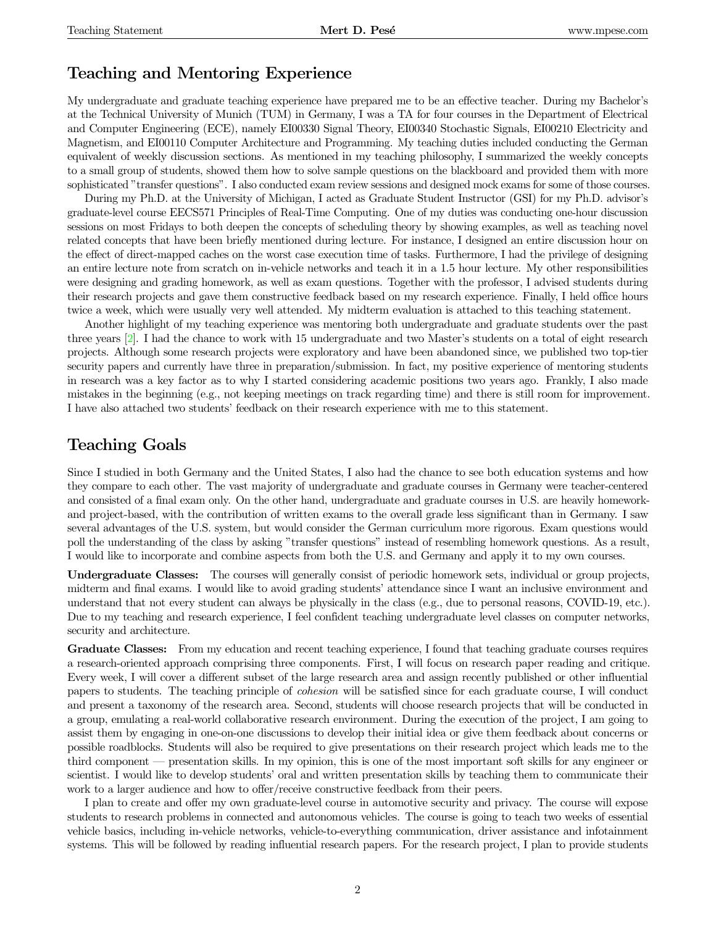### Teaching and Mentoring Experience

My undergraduate and graduate teaching experience have prepared me to be an effective teacher. During my Bachelor's at the Technical University of Munich (TUM) in Germany, I was a TA for four courses in the Department of Electrical and Computer Engineering (ECE), namely EI00330 Signal Theory, EI00340 Stochastic Signals, EI00210 Electricity and Magnetism, and EI00110 Computer Architecture and Programming. My teaching duties included conducting the German equivalent of weekly discussion sections. As mentioned in my teaching philosophy, I summarized the weekly concepts to a small group of students, showed them how to solve sample questions on the blackboard and provided them with more sophisticated "transfer questions". I also conducted exam review sessions and designed mock exams for some of those courses.

During my Ph.D. at the University of Michigan, I acted as Graduate Student Instructor (GSI) for my Ph.D. advisor's graduate-level course EECS571 Principles of Real-Time Computing. One of my duties was conducting one-hour discussion sessions on most Fridays to both deepen the concepts of scheduling theory by showing examples, as well as teaching novel related concepts that have been briefly mentioned during lecture. For instance, I designed an entire discussion hour on the effect of direct-mapped caches on the worst case execution time of tasks. Furthermore, I had the privilege of designing an entire lecture note from scratch on in-vehicle networks and teach it in a 1.5 hour lecture. My other responsibilities were designing and grading homework, as well as exam questions. Together with the professor, I advised students during their research projects and gave them constructive feedback based on my research experience. Finally, I held office hours twice a week, which were usually very well attended. My midterm evaluation is attached to this teaching statement.

Another highlight of my teaching experience was mentoring both undergraduate and graduate students over the past three years [\[2\]](#page-2-0). I had the chance to work with 15 undergraduate and two Master's students on a total of eight research projects. Although some research projects were exploratory and have been abandoned since, we published two top-tier security papers and currently have three in preparation/submission. In fact, my positive experience of mentoring students in research was a key factor as to why I started considering academic positions two years ago. Frankly, I also made mistakes in the beginning (e.g., not keeping meetings on track regarding time) and there is still room for improvement. I have also attached two students' feedback on their research experience with me to this statement.

### Teaching Goals

Since I studied in both Germany and the United States, I also had the chance to see both education systems and how they compare to each other. The vast majority of undergraduate and graduate courses in Germany were teacher-centered and consisted of a final exam only. On the other hand, undergraduate and graduate courses in U.S. are heavily homeworkand project-based, with the contribution of written exams to the overall grade less significant than in Germany. I saw several advantages of the U.S. system, but would consider the German curriculum more rigorous. Exam questions would poll the understanding of the class by asking "transfer questions" instead of resembling homework questions. As a result, I would like to incorporate and combine aspects from both the U.S. and Germany and apply it to my own courses.

Undergraduate Classes: The courses will generally consist of periodic homework sets, individual or group projects, midterm and final exams. I would like to avoid grading students' attendance since I want an inclusive environment and understand that not every student can always be physically in the class (e.g., due to personal reasons, COVID-19, etc.). Due to my teaching and research experience, I feel confident teaching undergraduate level classes on computer networks, security and architecture.

Graduate Classes: From my education and recent teaching experience, I found that teaching graduate courses requires a research-oriented approach comprising three components. First, I will focus on research paper reading and critique. Every week, I will cover a different subset of the large research area and assign recently published or other influential papers to students. The teaching principle of cohesion will be satisfied since for each graduate course, I will conduct and present a taxonomy of the research area. Second, students will choose research projects that will be conducted in a group, emulating a real-world collaborative research environment. During the execution of the project, I am going to assist them by engaging in one-on-one discussions to develop their initial idea or give them feedback about concerns or possible roadblocks. Students will also be required to give presentations on their research project which leads me to the third component — presentation skills. In my opinion, this is one of the most important soft skills for any engineer or scientist. I would like to develop students' oral and written presentation skills by teaching them to communicate their work to a larger audience and how to offer/receive constructive feedback from their peers.

I plan to create and offer my own graduate-level course in automotive security and privacy. The course will expose students to research problems in connected and autonomous vehicles. The course is going to teach two weeks of essential vehicle basics, including in-vehicle networks, vehicle-to-everything communication, driver assistance and infotainment systems. This will be followed by reading influential research papers. For the research project, I plan to provide students